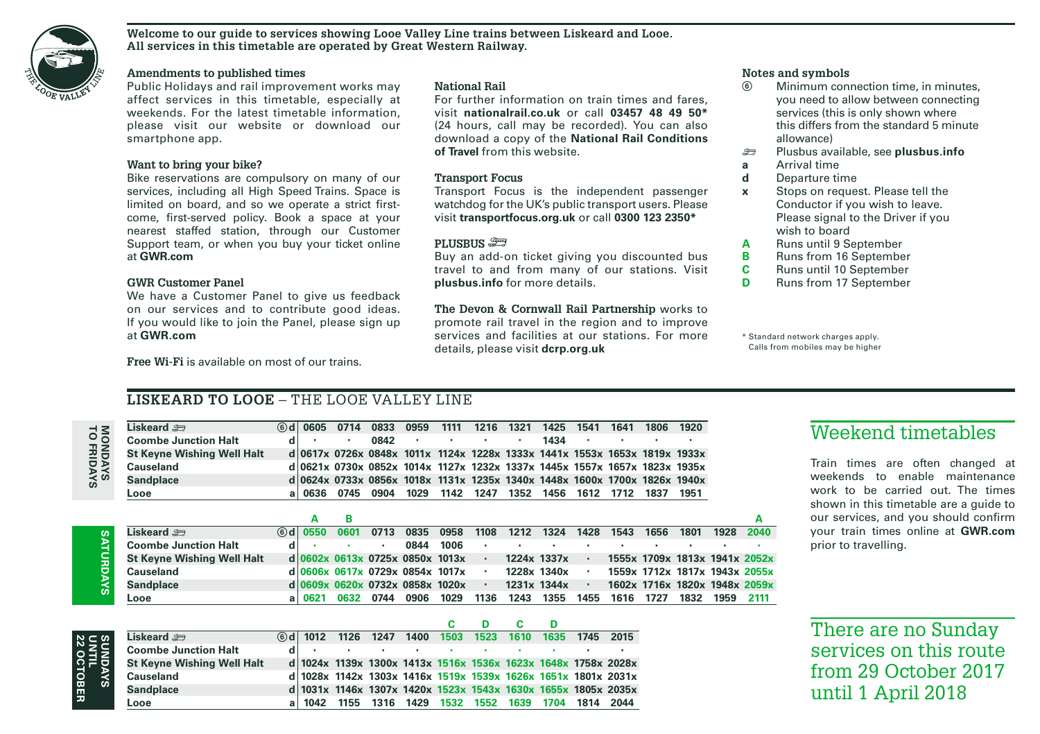

#### **Welcome to our guide to services showing Looe Valley Line trains between Liskeard and Looe. All services in this timetable are operated by Great Western Railway.**

### **Amendments to published times**

Public Holidays and rail improvement works may affect services in this timetable, especially at weekends. For the latest timetable information, please visit our website or download our smartphone app.

### **Want to bring your bike?**

Bike reservations are compulsory on many of our services, including all High Speed Trains. Space is limited on board, and so we operate a strict firstcome, first-served policy. Book a space at your nearest staffed station, through our Customer Support team, or when you buy your ticket online at **GWR.com**

### **GWR Customer Panel**

**Liskoard em** 

We have a Customer Panel to give us feedback on our services and to contribute good ideas. If you would like to join the Panel, please sign up at **GWR.com**

**Free Wi-Fi** is available on most of our trains.

### **National Rail**

For further information on train times and fares, visit **nationalrail.co.uk** or call **03457 48 49 50\***  (24 hours, call may be recorded). You can also download a copy of the **National Rail Conditions of Travel** from this website.

### **Transport Focus**

Transport Focus is the independent passenger watchdog for the UK's public transport users. Please visit **transportfocus.org.uk** or call **0300 123 2350\***

### **PLUSBUS** )

Buy an add-on ticket giving you discounted bus travel to and from many of our stations. Visit **plusbus.info** for more details.

**The Devon & Cornwall Rail Partnership** works to promote rail travel in the region and to improve services and facilities at our stations. For more details, please visit **dcrp.org.uk**

# **Notes and symbols**

- Minimum connection time, in minutes, you need to allow between connecting services (this is only shown where this differs from the standard 5 minute allowance)
- ) Plusbus available, see **plusbus.info**
- **a** Arrival time<br>**d** Departure time
- **d** Departure time
- **x** Stops on request. Please tell the Conductor if you wish to leave. Please signal to the Driver if you wish to board
- **A** Runs until 9 September<br>**B** Runs from 16 September
- **B** Runs from 16 September<br>**C** Runs until 10 September
- **C** Runs until 10 September<br>**D** Runs from 17 September
- **Runs from 17 September**

\* Standard network charges apply. Calls from mobiles may be higher

### **LISKEARD TO LOOE** – THE LOOE VALLEY LINE

| ۵<br>c. | н |
|---------|---|
| ٠<br>г  | г |
|         |   |

| Liskeard <i>ು</i>                 |    | $(6)$ d   0605                  | 0714                              | 0833 | 0959 | 1111 | 1216 | 1321 | 1425        | 1541      | 1641                                                                      | 1806 | 1920 |      |                               |
|-----------------------------------|----|---------------------------------|-----------------------------------|------|------|------|------|------|-------------|-----------|---------------------------------------------------------------------------|------|------|------|-------------------------------|
| <b>Coombe Junction Halt</b>       |    |                                 |                                   | 0842 | ٠    | ٠    |      |      | 1434        | ٠         |                                                                           |      |      |      |                               |
| <b>St Keyne Wishing Well Halt</b> |    |                                 |                                   |      |      |      |      |      |             |           | d 0617x 0726x 0848x 1011x 1124x 1228x 1333x 1441x 1553x 1653x 1819x 1933x |      |      |      |                               |
| <b>Causeland</b>                  |    |                                 |                                   |      |      |      |      |      |             |           | d 0621x 0730x 0852x 1014x 1127x 1232x 1337x 1445x 1557x 1657x 1823x 1935x |      |      |      |                               |
| <b>Sandplace</b>                  |    |                                 |                                   |      |      |      |      |      |             |           | d 0624x 0733x 0856x 1018x 1131x 1235x 1340x 1448x 1600x 1700x 1826x 1940x |      |      |      |                               |
| Looe                              | al | 0636                            | 0745                              | 0904 | 1029 | 1142 | 1247 | 1352 | 1456        | 1612      | 1712                                                                      | 1837 | 1951 |      |                               |
|                                   |    |                                 |                                   |      |      |      |      |      |             |           |                                                                           |      |      |      |                               |
|                                   |    | А                               | в                                 |      |      |      |      |      |             |           |                                                                           |      |      |      | А                             |
| Liskeard <i>a</i>                 |    | $\circ$ d 0550                  | 0601                              | 0713 | 0835 | 0958 | 1108 | 1212 | 1324        | 1428      | 1543                                                                      | 1656 | 1801 | 1928 | 2040                          |
| <b>Coombe Junction Halt</b>       | d  |                                 |                                   | ٠    | 0844 | 1006 | ٠    |      |             |           | ٠                                                                         |      |      |      |                               |
| <b>St Keyne Wishing Well Halt</b> |    |                                 | $d/0602x$ 0613x 0725x 0850x 1013x |      |      |      | ٠    |      | 1224x 1337x |           |                                                                           |      |      |      | 1555x 1709x 1813x 1941x 2052x |
| Causeland                         |    |                                 | d 0606x 0617x 0729x 0854x 1017x   |      |      |      | ٠    |      | 1228x 1340x | ٠         |                                                                           |      |      |      | 1559x 1712x 1817x 1943x 2055x |
|                                   |    |                                 |                                   |      |      |      |      |      |             |           |                                                                           |      |      |      |                               |
| <b>Sandplace</b>                  |    | d 0609x 0620x 0732x 0858x 1020x |                                   |      |      |      | ٠    |      | 1231x 1344x | $\bullet$ |                                                                           |      |      |      | 1602x 1716x 1820x 1948x 2059x |

**C**

**D**

**C**

**D**

# SYADRDAYS **SATURDAYS**

| ٠<br>Ó<br>c |
|-------------|
|-------------|

| Liskeard <i>s</i> ⊟               | <b>6d</b> 1012 1126 1247 1400 1503 1523 1610 1635 1745 2015   |        |  |  |                                                                                                                 |  |
|-----------------------------------|---------------------------------------------------------------|--------|--|--|-----------------------------------------------------------------------------------------------------------------|--|
| <b>Coombe Junction Halt</b>       |                                                               | $\sim$ |  |  | the contract of the contract of the contract of the contract of the contract of the contract of the contract of |  |
| <b>St Kevne Wishing Well Halt</b> | d 1024x 1139x 1300x 1413x 1516x 1536x 1623x 1648x 1758x 2028x |        |  |  |                                                                                                                 |  |
| <b>Causeland</b>                  | d 1028x 1142x 1303x 1416x 1519x 1539x 1626x 1651x 1801x 2031x |        |  |  |                                                                                                                 |  |
| <b>Sandplace</b>                  | d 1031x 1146x 1307x 1420x 1523x 1543x 1630x 1655x 1805x 2035x |        |  |  |                                                                                                                 |  |
| Looe                              | a 1042 1155 1316 1429 1532 1552 1639 1704 1814 2044           |        |  |  |                                                                                                                 |  |

### Weekend timetables

Train times are often changed at weekends to enable maintenance work to be carried out. The times shown in this timetable are a guide to our services, and you should confirm your train times online at **GWR.com** prior to travelling.

There are no Sunday services on this route from 29 October 2017 until 1 April 2018